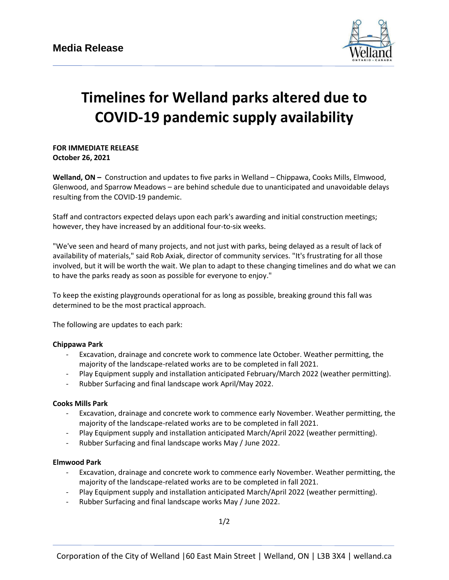

# **Timelines for Welland parks altered due to COVID-19 pandemic supply availability**

**FOR IMMEDIATE RELEASE October 26, 2021**

**Welland, ON –** Construction and updates to five parks in Welland – Chippawa, Cooks Mills, Elmwood, Glenwood, and Sparrow Meadows – are behind schedule due to unanticipated and unavoidable delays resulting from the COVID-19 pandemic.

Staff and contractors expected delays upon each park's awarding and initial construction meetings; however, they have increased by an additional four-to-six weeks.

"We've seen and heard of many projects, and not just with parks, being delayed as a result of lack of availability of materials," said Rob Axiak, director of community services. "It's frustrating for all those involved, but it will be worth the wait. We plan to adapt to these changing timelines and do what we can to have the parks ready as soon as possible for everyone to enjoy."

To keep the existing playgrounds operational for as long as possible, breaking ground this fall was determined to be the most practical approach.

The following are updates to each park:

### **Chippawa Park**

- Excavation, drainage and concrete work to commence late October. Weather permitting, the majority of the landscape-related works are to be completed in fall 2021.
- Play Equipment supply and installation anticipated February/March 2022 (weather permitting).
- Rubber Surfacing and final landscape work April/May 2022.

### **Cooks Mills Park**

- Excavation, drainage and concrete work to commence early November. Weather permitting, the majority of the landscape-related works are to be completed in fall 2021.
- Play Equipment supply and installation anticipated March/April 2022 (weather permitting).
- Rubber Surfacing and final landscape works May / June 2022.

### **Elmwood Park**

- Excavation, drainage and concrete work to commence early November. Weather permitting, the majority of the landscape-related works are to be completed in fall 2021.
- Play Equipment supply and installation anticipated March/April 2022 (weather permitting).
- Rubber Surfacing and final landscape works May / June 2022.

1/2